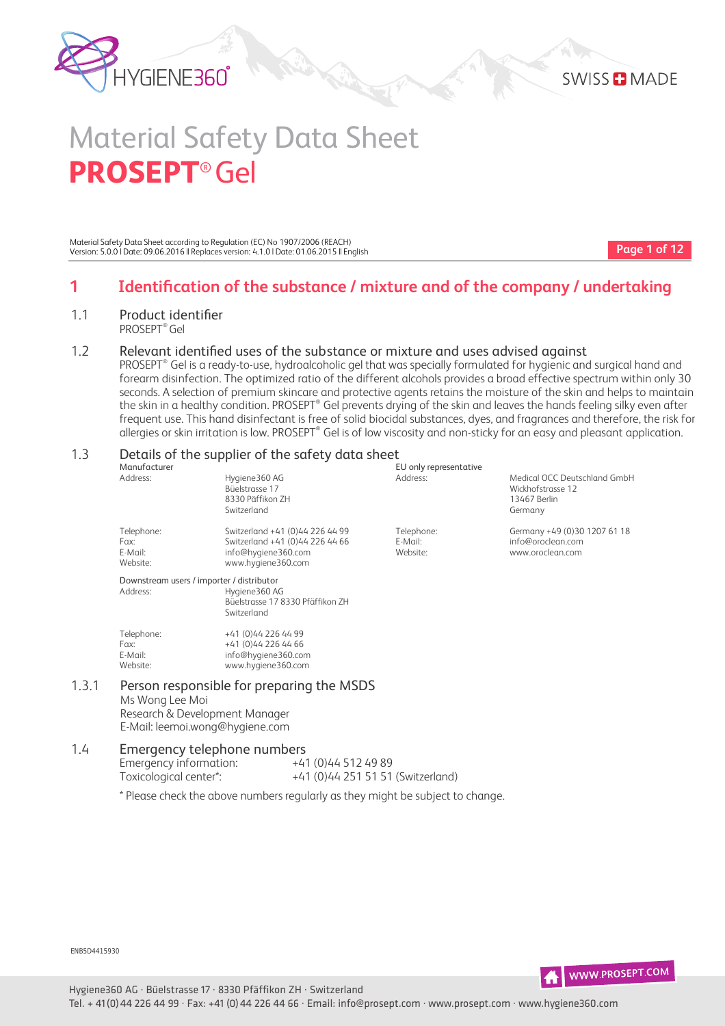



Material Safety Data Sheet according to Regulation (EC) No 1907/2006 (REACH) Version: 5.0.0 | Date: 09.06.2016 || Replaces version: 4.1.0 | Date: 01.06.2015 || English

**Page 1 of 12**

Medical OCC Deutschland GmbH

# **1 Identification of the substance / mixture and of the company / undertaking**

1.1 Product identifier PROSEPT® Gel

#### 1.2 Relevant identified uses of the substance or mixture and uses advised against

 $\mathsf{PROSEPT}^\circ$  Gel is a ready-to-use, hydroalcoholic gel that was specially formulated for hygienic and surgical hand and forearm disinfection. The optimized ratio of the different alcohols provides a broad effective spectrum within only 30 seconds. A selection of premium skincare and protective agents retains the moisture of the skin and helps to maintain the skin in a healthy condition. PROSEPT® Gel prevents drying of the skin and leaves the hands feeling silky even after frequent use. This hand disinfectant is free of solid biocidal substances, dyes, and fragrances and therefore, the risk for allergies or skin irritation is low. PROSEPT® Gel is of low viscosity and non-sticky for an easy and pleasant application.

EU only representative

# 1.3 Details of the supplier of the safety data sheet  $\frac{1}{5}$

|              | Details of the supplier of the |
|--------------|--------------------------------|
| Manufacturer |                                |
| Address:     | Hygiene360 AG                  |
|              | Büelstrasse 17                 |
|              | $0220$ D <sub>*ffiles</sub> 7  |

|       |                                           | Büelstrasse 17<br>8330 Päffikon ZH<br>Switzerland                                                               |                                   | Wickhofstrasse 12<br>13467 Berlin<br>Germany                          |
|-------|-------------------------------------------|-----------------------------------------------------------------------------------------------------------------|-----------------------------------|-----------------------------------------------------------------------|
|       | Telephone:<br>Fax:<br>E-Mail:<br>Website: | Switzerland +41 (0)44 226 44 99<br>Switzerland +41 (0)44 226 44 66<br>info@hygiene360.com<br>www.hygiene360.com | Telephone:<br>E-Mail:<br>Website: | Germany +49 (0)30 1207 61 18<br>info@oroclean.com<br>www.oroclean.com |
|       | Downstream users / importer / distributor |                                                                                                                 |                                   |                                                                       |
|       | Address:                                  | Hygiene360 AG<br>Büelstrasse 17 8330 Pfäffikon ZH<br>Switzerland                                                |                                   |                                                                       |
|       | Telephone:                                | +41 (0)44 226 44 99                                                                                             |                                   |                                                                       |
|       | Fax:                                      | +41 (0)44 226 44 66                                                                                             |                                   |                                                                       |
|       | E-Mail:                                   | info@hygiene360.com                                                                                             |                                   |                                                                       |
|       | Website:                                  | www.hygiene360.com                                                                                              |                                   |                                                                       |
| 1.3.1 | $M = 101 - 22 - 122 - 122$                | Person responsible for preparing the MSDS                                                                       |                                   |                                                                       |

Ms Wong Lee Moi

Research & Development Manager E-Mail: leemoi.wong@hygiene.com

#### 1.4 Emergency telephone numbers Emergency information:  $+41(0)445124989$

Toxicological center\*: +41 (0)44 251 51 51 (Switzerland)

\* Please check the above numbers regularly as they might be subject to change.

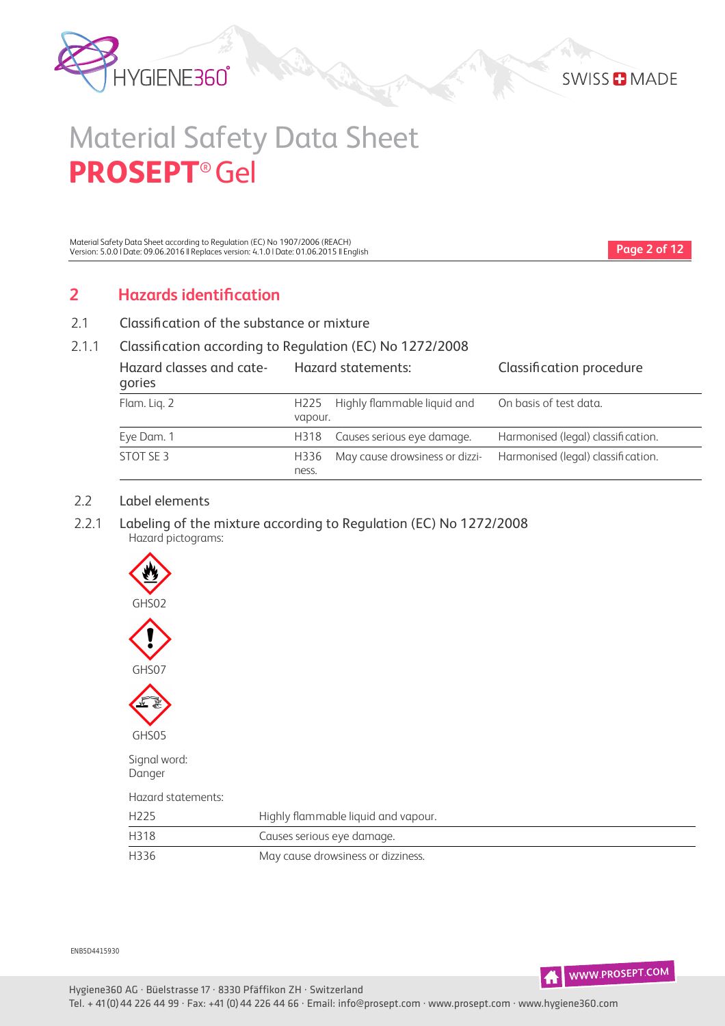



Material Safety Data Sheet according to Regulation (EC) No 1907/2006 (REACH) Version: 5.0.0 | Date: 09.06.2016 || Replaces version: 4.1.0 | Date: 01.06.2015 || English

**Page 2 of 12**

# **2 Hazards identification**

2.1 Classification of the substance or mixture

#### 2.1.1 Classification according to Regulation (EC) No 1272/2008

| Hazard classes and cate-<br>gories |                             | Hazard statements:             | Classification procedure           |
|------------------------------------|-----------------------------|--------------------------------|------------------------------------|
| Flam. Lig. 2                       | H <sub>225</sub><br>vapour. | Highly flammable liquid and    | On basis of test data.             |
| Eye Dam. 1                         | H318                        | Causes serious eye damage.     | Harmonised (legal) classification. |
| STOT SE 3                          | H336<br>ness.               | May cause drowsiness or dizzi- | Harmonised (legal) classification. |

#### 2.2 Label elements

 2.2.1 Labeling of the mixture according to Regulation (EC) No 1272/2008 Hazard pictograms:



Danger

Hazard statements:

| H <sub>225</sub> | Highly flammable liquid and vapour. |
|------------------|-------------------------------------|
| H318             | Causes serious eye damage.          |
| H336             | May cause drowsiness or dizziness.  |

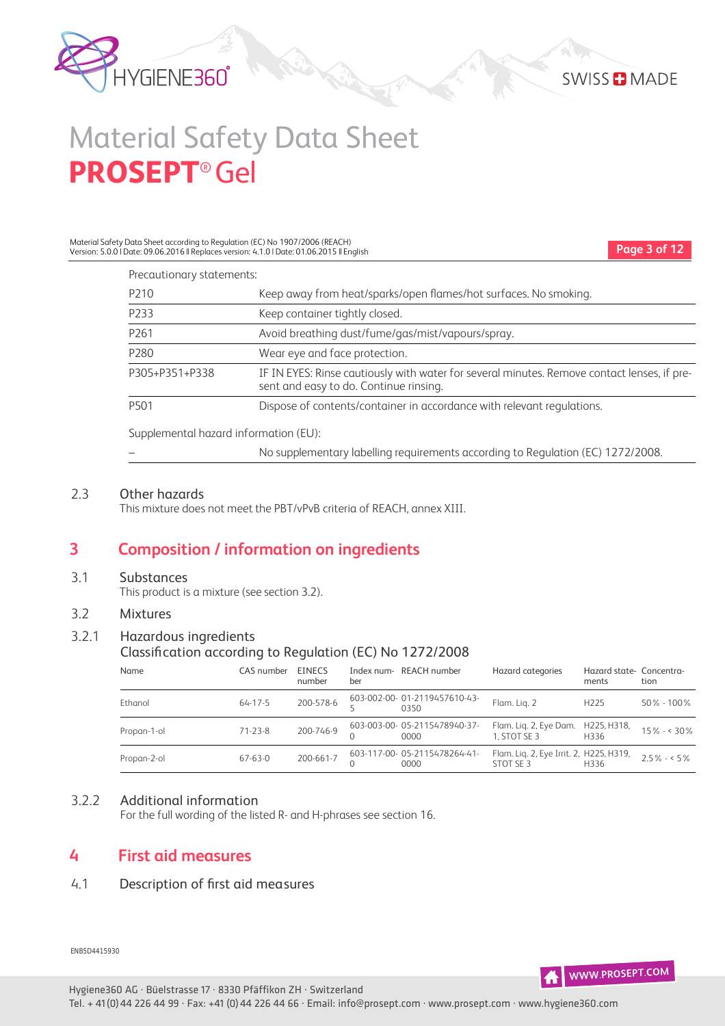

Material Safety Data Sheet according to Regulation (EC) No 1907/2006 (REACH) Version: 5.0.0 | Date: 09.06.2016 || Replaces version: 4.1.0 | Date: 01.06.2015 || English

**Page 3 of 12**

| Precautionary statements:             |                                                                                                                                       |
|---------------------------------------|---------------------------------------------------------------------------------------------------------------------------------------|
| P <sub>210</sub>                      | Keep away from heat/sparks/open flames/hot surfaces. No smoking.                                                                      |
| P233                                  | Keep container tightly closed.                                                                                                        |
| P <sub>261</sub>                      | Avoid breathing dust/fume/gas/mist/vapours/spray.                                                                                     |
| P280                                  | Wear eye and face protection.                                                                                                         |
| P305+P351+P338                        | IF IN EYES: Rinse cautiously with water for several minutes. Remove contact lenses, if pre-<br>sent and easy to do. Continue rinsing. |
| P <sub>501</sub>                      | Dispose of contents/container in accordance with relevant regulations.                                                                |
| Supplemental hazard information (EU): |                                                                                                                                       |
|                                       | No supplementary labelling requirements according to Regulation (EC) 1272/2008.                                                       |

#### 2.3 Other hazards

This mixture does not meet the PBT/vPvB criteria of REACH, annex XIII.

### **3 Composition / information on ingredients**

#### 3.1 Substances

This product is a mixture (see section 3.2).

#### 3.2 Mixtures

#### 3.2.1 Hazardous ingredients

#### Classification according to Regulation (EC) No 1272/2008

| Name        | CAS number    | <b>EINECS</b><br>number | ber | Index num-REACH number               | Hazard categories                                    | Hazard state- Concentra-<br>ments | tion           |
|-------------|---------------|-------------------------|-----|--------------------------------------|------------------------------------------------------|-----------------------------------|----------------|
| Ethanol     | $64 - 17 - 5$ | 200-578-6               |     | 603-002-00-01-2119457610-43-<br>0350 | Flam. Lig. 2                                         | H <sub>225</sub>                  | $50\% - 100\%$ |
| Propan-1-ol | $71 - 23 - 8$ | 200-746-9               |     | 603-003-00-05-2115478940-37-<br>0000 | Flam. Lig. 2, Eye Dam.<br>1. STOT SE 3               | H225, H318,<br>H336               | $15\% - 30\%$  |
| Propan-2-ol | $67 - 63 - 0$ | 200-661-7               |     | 603-117-00-05-2115478264-41-<br>0000 | Flam. Liq. 2, Eye Irrit. 2, H225, H319,<br>STOT SE 3 | H <sub>3</sub> 36                 | $2.5\% - 5\%$  |

#### 3.2.2 Additional information

For the full wording of the listed R- and H-phrases see section 16.

### **4 First aid measures**

#### 4.1 Description of first aid measures

ENB5D4415930



Hygiene360 AG · Büelstrasse 17 · 8330 Pfäffikon ZH · Switzerland Tel. + 41(0)44 226 44 99 · Fax: +41 (0)44 226 44 66 · Email: info@prosept.com · www.prosept.com · www.hygiene360.com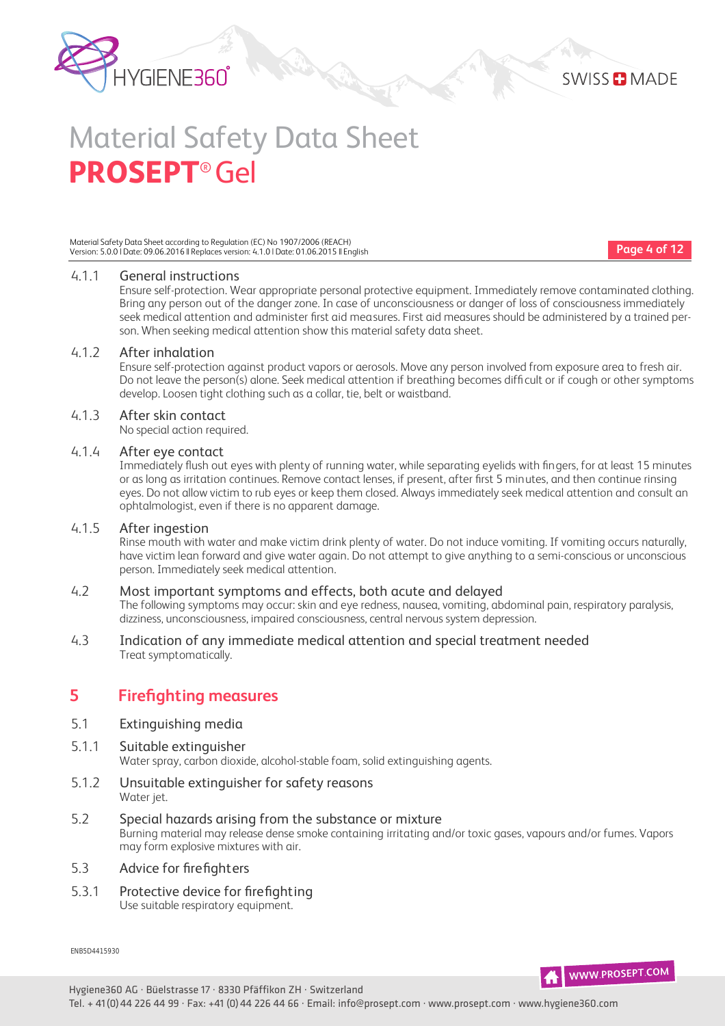

Material Safety Data Sheet according to Regulation (EC) No 1907/2006 (REACH) Version: 5.0.0 | Date: 09.06.2016 || Replaces version: 4.1.0 | Date: 01.06.2015 || English

**Page 4 of 12**

#### 4.1.1 General instructions

Ensure self-protection. Wear appropriate personal protective equipment. Immediately remove contaminated clothing. Bring any person out of the danger zone. In case of unconsciousness or danger of loss of consciousness immediately seek medical attention and administer first aid measures. First aid measures should be administered by a trained person. When seeking medical attention show this material safety data sheet.

#### 4.1.2 After inhalation

Ensure self-protection against product vapors or aerosols. Move any person involved from exposure area to fresh air. Do not leave the person(s) alone. Seek medical attention if breathing becomes difficult or if cough or other symptoms develop. Loosen tight clothing such as a collar, tie, belt or waistband.

#### 4.1.3 After skin contact

No special action required.

#### 4.1.4 After eye contact

Immediately flush out eyes with plenty of running water, while separating eyelids with fingers, for at least 15 minutes or as long as irritation continues. Remove contact lenses, if present, after first 5 minutes, and then continue rinsing eyes. Do not allow victim to rub eyes or keep them closed. Always immediately seek medical attention and consult an ophtalmologist, even if there is no apparent damage.

#### 4.1.5 After ingestion

Rinse mouth with water and make victim drink plenty of water. Do not induce vomiting. If vomiting occurs naturally, have victim lean forward and give water again. Do not attempt to give anything to a semiconscious or unconscious person. Immediately seek medical attention.

#### 4.2 Most important symptoms and effects, both acute and delayed

The following symptoms may occur: skin and eye redness, nausea, vomiting, abdominal pain, respiratory paralysis, dizziness, unconsciousness, impaired consciousness, central nervous system depression.

#### 4.3 Indication of any immediate medical attention and special treatment needed Treat symptomatically.

### **5 Firefighting measures**

#### 5.1 Extinguishing media

5.1.1 Suitable extinguisher

Water spray, carbon dioxide, alcohol-stable foam, solid extinguishing agents.

- 5.1.2 Unsuitable extinguisher for safety reasons Water jet.
- 5.2 Special hazards arising from the substance or mixture Burning material may release dense smoke containing irritating and/or toxic gases, vapours and/or fumes. Vapors may form explosive mixtures with air.

#### 5.3 Advice for firefighters

5.3.1 Protective device for firefighting Use suitable respiratory equipment.

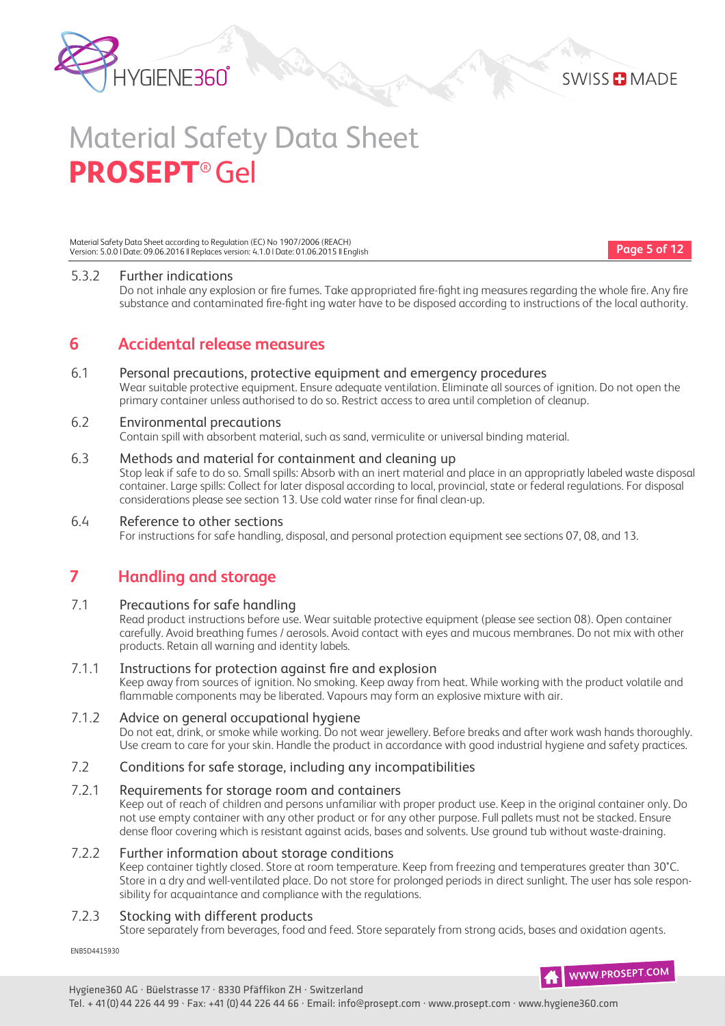



Material Safety Data Sheet according to Regulation (EC) No 1907/2006 (REACH) Version: 5.0.0 | Date: 09.06.2016 || Replaces version: 4.1.0 | Date: 01.06.2015 || English

**Page 5 of 12**

#### 5.3.2 Further indications

Do not inhale any explosion or fire fumes. Take appropriated fire-fight ing measures regarding the whole fire. Any fire substance and contaminated fire-fight ing water have to be disposed according to instructions of the local authority.

### **6 Accidental release measures**

#### 6.1 Personal precautions, protective equipment and emergency procedures

Wear suitable protective equipment. Ensure adequate ventilation. Eliminate all sources of ignition. Do not open the primary container unless authorised to do so. Restrict access to area until completion of cleanup.

#### 6.2 Environmental precautions

Contain spill with absorbent material, such as sand, vermiculite or universal binding material.

#### 6.3 Methods and material for containment and cleaning up

Stop leak if safe to do so. Small spills: Absorb with an inert material and place in an appropriatly labeled waste disposal container. Large spills: Collect for later disposal according to local, provincial, state or federal regulations. For disposal considerations please see section 13. Use cold water rinse for final clean-up.

#### 6.4 Reference to other sections

For instructions for safe handling, disposal, and personal protection equipment see sections 07, 08, and 13.

### **7 Handling and storage**

#### 7.1 Precautions for safe handling

Read product instructions before use. Wear suitable protective equipment (please see section 08). Open container carefully. Avoid breathing fumes / aerosols. Avoid contact with eyes and mucous membranes. Do not mix with other products. Retain all warning and identity labels.

#### 7.1.1 Instructions for protection against fire and explosion

Keep away from sources of ignition. No smoking. Keep away from heat. While working with the product volatile and flammable components may be liberated. Vapours may form an explosive mixture with air.

#### 7.1.2 Advice on general occupational hygiene

Do not eat, drink, or smoke while working. Do not wear jewellery. Before breaks and after work wash hands thoroughly. Use cream to care for your skin. Handle the product in accordance with good industrial hygiene and safety practices.

#### 7.2 Conditions for safe storage, including any incompatibilities

#### 7.2.1 Requirements for storage room and containers

Keep out of reach of children and persons unfamiliar with proper product use. Keep in the original container only. Do not use empty container with any other product or for any other purpose. Full pallets must not be stacked. Ensure dense floor covering which is resistant against acids, bases and solvents. Use ground tub without waste-draining.

#### 7.2.2 Further information about storage conditions

Keep container tightly closed. Store at room temperature. Keep from freezing and temperatures greater than 30°C. Store in a dry and well-ventilated place. Do not store for prolonged periods in direct sunlight. The user has sole responsibility for acquaintance and compliance with the regulations.

#### 7.2.3 Stocking with different products

Store separately from beverages, food and feed. Store separately from strong acids, bases and oxidation agents.

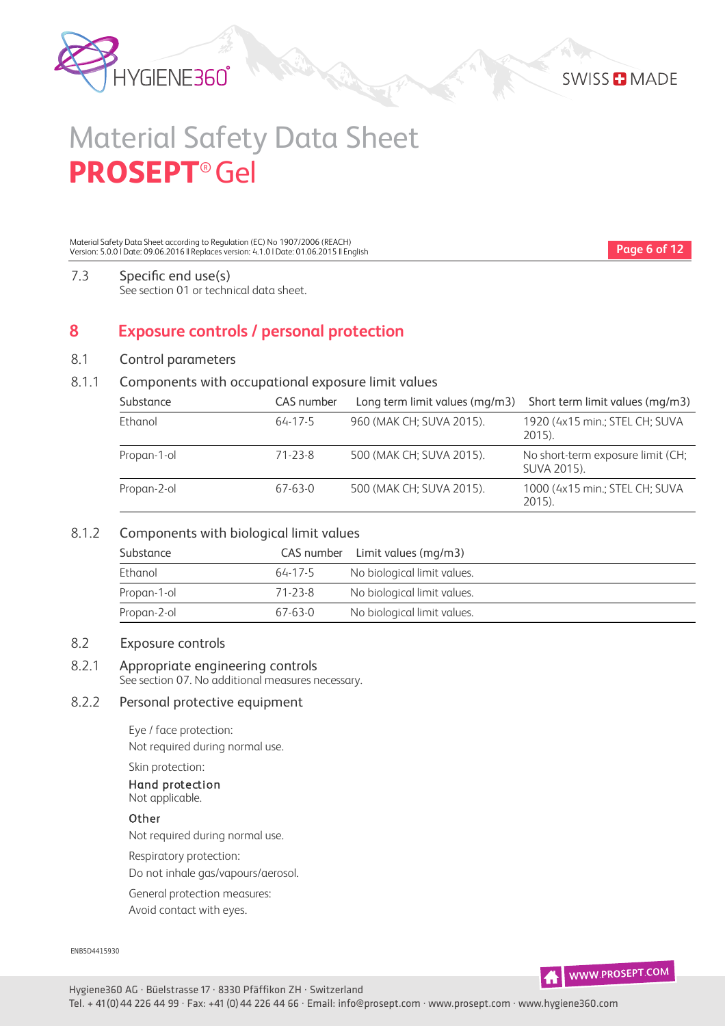



Material Safety Data Sheet according to Regulation (EC) No 1907/2006 (REACH) Version: 5.0.0 | Date: 09.06.2016 || Replaces version: 4.1.0 | Date: 01.06.2015 || English

**Page 6 of 12**

#### 7.3 Specific end use(s) See section 01 or technical data sheet.

### **8 Exposure controls / personal protection**

#### 8.1 Control parameters

#### 8.1.1 Components with occupational exposure limit values

| Substance   | CAS number | Long term limit values (mg/m3) | Short term limit values (mg/m3)                  |
|-------------|------------|--------------------------------|--------------------------------------------------|
| Ethanol     | 64-17-5    | 960 (MAK CH; SUVA 2015).       | 1920 (4x15 min.; STEL CH; SUVA<br>2015).         |
| Propan-1-ol | 71-23-8    | 500 (MAK CH; SUVA 2015).       | No short-term exposure limit (CH;<br>SUVA 2015). |
| Propan-2-ol | 67-63-0    | 500 (MAK CH; SUVA 2015).       | 1000 (4x15 min.; STEL CH; SUVA<br>2015).         |

#### 8.1.2 Components with biological limit values

| Substance   |         | CAS number Limit values (mg/m3) |
|-------------|---------|---------------------------------|
| Ethanol     | 64-17-5 | No biological limit values.     |
| Propan-1-ol | 71-23-8 | No biological limit values.     |
| Propan-2-ol | 67-63-0 | No biological limit values.     |

#### 8.2 Exposure controls

#### 8.2.1 Appropriate engineering controls

See section 07. No additional measures necessary.

#### 8.2.2 Personal protective equipment

Eye / face protection:

Not required during normal use.

#### Skin protection: Hand protection Not applicable.

### **Other**

Not required during normal use.

Respiratory protection:

Do not inhale gas/vapours/aerosol.

General protection measures:

Avoid contact with eyes.

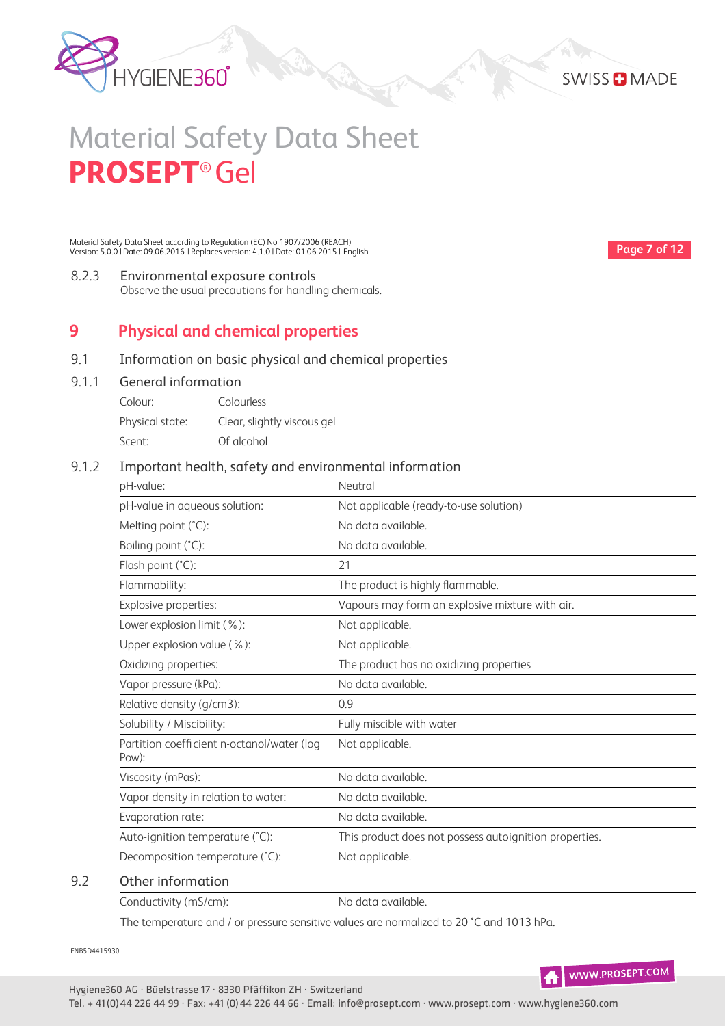

**Page 7 of 12**

# Material Safety Data Sheet **PROSEPT**® Gel

Material Safety Data Sheet according to Regulation (EC) No 1907/2006 (REACH) Version: 5.0.0 | Date: 09.06.2016 || Replaces version: 4.1.0 | Date: 01.06.2015 || English

8.2.3 Environmental exposure controls

Observe the usual precautions for handling chemicals.

# **9 Physical and chemical properties**

#### 9.1 Information on basic physical and chemical properties

#### 9.1.1 General information

| Colour:         | Colourless                  |
|-----------------|-----------------------------|
| Physical state: | Clear, slightly viscous gel |
| Scent:          | Of alcohol                  |

#### 9.1.2 Important health, safety and environmental information

| pH-value:                                           | Neutral                                                |
|-----------------------------------------------------|--------------------------------------------------------|
| pH-value in aqueous solution:                       | Not applicable (ready-to-use solution)                 |
| Melting point (°C):                                 | No data available.                                     |
| Boiling point (°C):                                 | No data available.                                     |
| Flash point (°C):                                   | 21                                                     |
| Flammability:                                       | The product is highly flammable.                       |
| Explosive properties:                               | Vapours may form an explosive mixture with air.        |
| Lower explosion limit (%):                          | Not applicable.                                        |
| Upper explosion value (%):                          | Not applicable.                                        |
| Oxidizing properties:                               | The product has no oxidizing properties                |
| Vapor pressure (kPa):                               | No data available.                                     |
| Relative density (g/cm3):                           | 0.9                                                    |
| Solubility / Miscibility:                           | Fully miscible with water                              |
| Partition coefficient n-octanol/water (log<br>Pow): | Not applicable.                                        |
| Viscosity (mPas):                                   | No data available.                                     |
| Vapor density in relation to water:                 | No data available.                                     |
| Evaporation rate:                                   | No data available.                                     |
| Auto-ignition temperature (°C):                     | This product does not possess autoignition properties. |
| Decomposition temperature (°C):                     | Not applicable.                                        |

#### 9.2 Other information

| Conductivity (mS/cm): | No data available. |
|-----------------------|--------------------|
|                       |                    |

The temperature and / or pressure sensitive values are normalized to 20 °C and 1013 hPa.

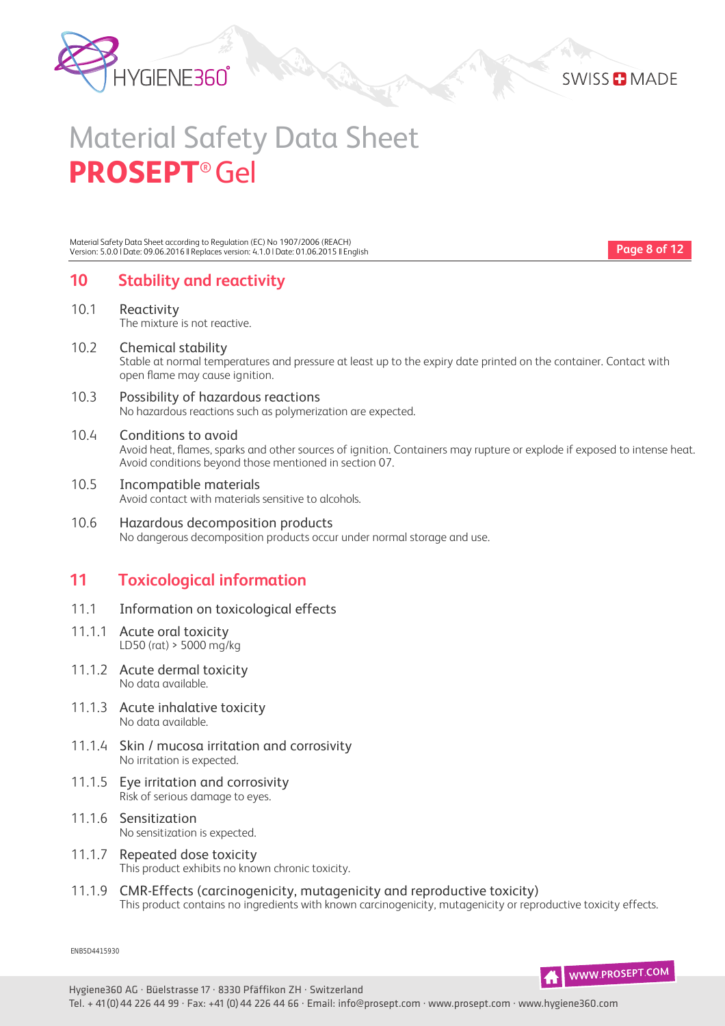



Material Safety Data Sheet according to Regulation (EC) No 1907/2006 (REACH) Version: 5.0.0 | Date: 09.06.2016 || Replaces version: 4.1.0 | Date: 01.06.2015 || English

**Page 8 of 12**

### **10 Stability and reactivity**

- 10.1 Reactivity The mixture is not reactive.
- 10.2 Chemical stability Stable at normal temperatures and pressure at least up to the expiry date printed on the container. Contact with open flame may cause ignition.
- 10.3 Possibility of hazardous reactions No hazardous reactions such as polymerization are expected.

#### 10.4 Conditions to avoid

Avoid heat, flames, sparks and other sources of ignition. Containers may rupture or explode if exposed to intense heat. Avoid conditions beyond those mentioned in section 07.

- 10.5 Incompatible materials Avoid contact with materials sensitive to alcohols.
- 10.6 Hazardous decomposition products No dangerous decomposition products occur under normal storage and use.

### **11 Toxicological information**

- 11.1 Information on toxicological effects
- 11.1.1 Acute oral toxicity LD50 (rat) > 5000 mg/kg
- 11.1.2 Acute dermal toxicity No data available.
- 11.1.3 Acute inhalative toxicity No data available.
- 11.1.4 Skin / mucosa irritation and corrosivity No irritation is expected.
- 11.1.5 Eye irritation and corrosivity Risk of serious damage to eyes.
- 11.1.6 Sensitization No sensitization is expected.
- 11.1.7 Repeated dose toxicity This product exhibits no known chronic toxicity.
- 11.1.9 CMREffects (carcinogenicity, mutagenicity and reproductive toxicity) This product contains no ingredients with known carcinogenicity, mutagenicity or reproductive toxicity effects.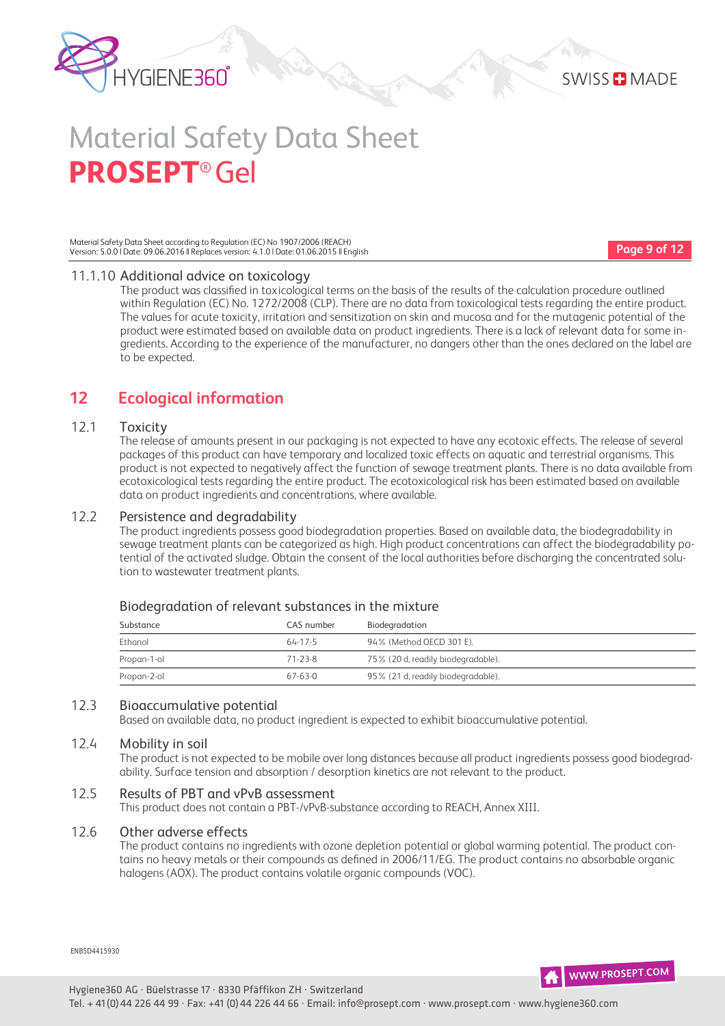

Material Safety Data Sheet according to Regulation (EC) No 1907/2006 (REACH) Version: 5.0.0 | Date: 09.06.2016 || Replaces version: 4.1.0 | Date: 01.06.2015 || English

**Page 9 of 12**

#### 11.1.10 Additional advice on toxicology

The product was classified in toxicological terms on the basis of the results of the calculation procedure outlined within Regulation (EC) No. 1272/2008 (CLP). There are no data from toxicological tests regarding the entire product. The values for acute toxicity, irritation and sensitization on skin and mucosa and for the mutagenic potential of the product were estimated based on available data on product ingredients. There is a lack of relevant data for some ingredients. According to the experience of the manufacturer, no dangers other than the ones declared on the label are to be expected.

### **12 Ecological information**

#### 12.1 Toxicity

The release of amounts present in our packaging is not expected to have any ecotoxic effects. The release of several packages of this product can have temporary and localized toxic effects on aquatic and terrestrial organisms. This product is not expected to negatively affect the function of sewage treatment plants. There is no data available from ecotoxicological tests regarding the entire product. The ecotoxicological risk has been estimated based on available data on product ingredients and concentrations, where available.

#### 12.2 Persistence and degradability

The product ingredients possess good biodegradation properties. Based on available data, the biodegradability in sewage treatment plants can be categorized as high. High product concentrations can affect the biodegradability potential of the activated sludge. Obtain the consent of the local authorities before discharging the concentrated solution to wastewater treatment plants.

#### Biodegradation of relevant substances in the mixture

| Substance   | CAS number    | Biodegradation                     |
|-------------|---------------|------------------------------------|
| Ethanol     | $64 - 17 - 5$ | 94% (Method OECD 301 E).           |
| Propan-1-ol | 71-23-8       | 75% (20 d, readily biodegradable). |
| Propan-2-ol | $67-63-0$     | 95% (21 d, readily biodegradable). |

#### 12.3 Bioaccumulative potential

Based on available data, no product ingredient is expected to exhibit bioaccumulative potential.

#### 12.4 Mobility in soil

The product is not expected to be mobile over long distances because all product ingredients possess good biodegradability. Surface tension and absorption / desorption kinetics are not relevant to the product.

#### 12.5 Results of PBT and vPvB assessment

This product does not contain a PBT-/vPvB-substance according to REACH, Annex XIII.

#### 12.6 Other adverse effects

The product contains no ingredients with ozone depletion potential or global warming potential. The product contains no heavy metals or their compounds as defined in 2006/11/EG. The product contains no absorbable organic halogens (AOX). The product contains volatile organic compounds (VOC).

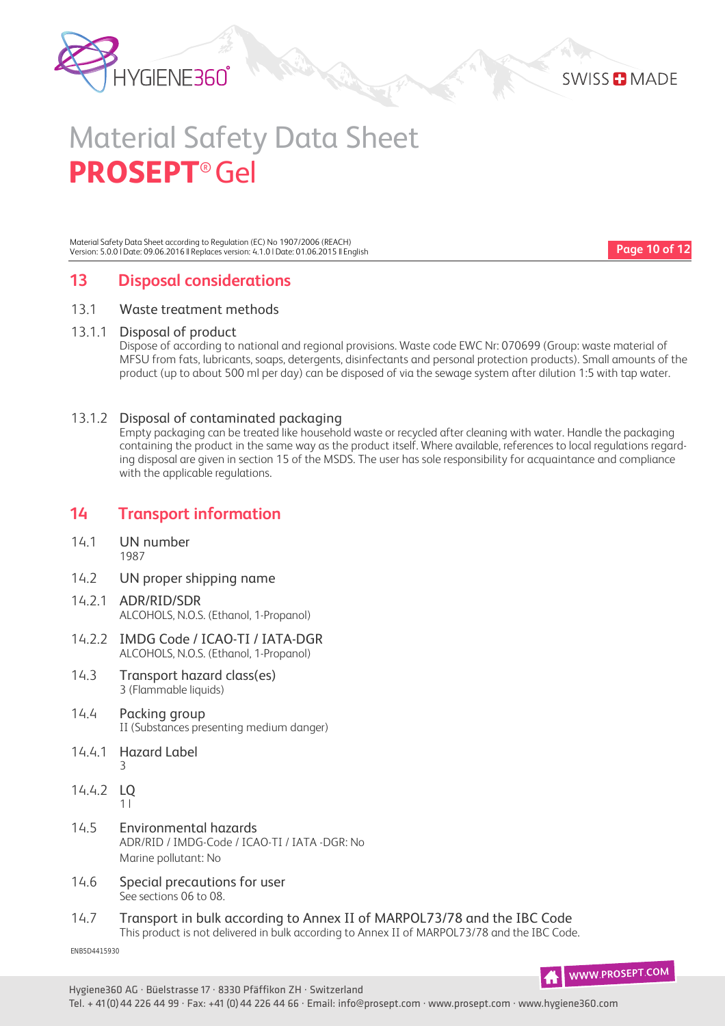



Material Safety Data Sheet according to Regulation (EC) No 1907/2006 (REACH) Version: 5.0.0 | Date: 09.06.2016 || Replaces version: 4.1.0 | Date: 01.06.2015 || English

**Page 10 of 12**

# **13 Disposal considerations**

#### 13.1 Waste treatment methods

#### 13.1.1 Disposal of product

Dispose of according to national and regional provisions. Waste code EWC Nr: 070699 (Group: waste material of MFSU from fats, lubricants, soaps, detergents, disinfectants and personal protection products). Small amounts of the product (up to about 500 ml per day) can be disposed of via the sewage system after dilution 1:5 with tap water.

#### 13.1.2 Disposal of contaminated packaging

Empty packaging can be treated like household waste or recycled after cleaning with water. Handle the packaging containing the product in the same way as the product itself. Where available, references to local regulations regarding disposal are given in section 15 of the MSDS. The user has sole responsibility for acquaintance and compliance with the applicable regulations.

### **14 Transport information**

- 14.1 UN number 1987
- 14.2 UN proper shipping name
- 14.2.1 ADR/RID/SDR ALCOHOLS, N.O.S. (Ethanol, 1-Propanol)
- 14.2.2 IMDG Code / ICAO-TI / IATA-DGR ALCOHOLS, N.O.S. (Ethanol, 1-Propanol)
- 14.3 Transport hazard class(es) 3 (Flammable liquids)
- 14.4 Packing group II (Substances presenting medium danger)
- 14.4.1 Hazard Label 3
- 14.4.2 LQ 1 l
- 14.5 Environmental hazards ADR/RID / IMDG-Code / ICAO-TI / IATA -DGR: No Marine pollutant: No
- 14.6 Special precautions for user See sections 06 to 08.
- 14.7 Transport in bulk according to Annex II of MARPOL73/78 and the IBC Code This product is not delivered in bulk according to Annex II of MARPOL73/78 and the IBC Code.

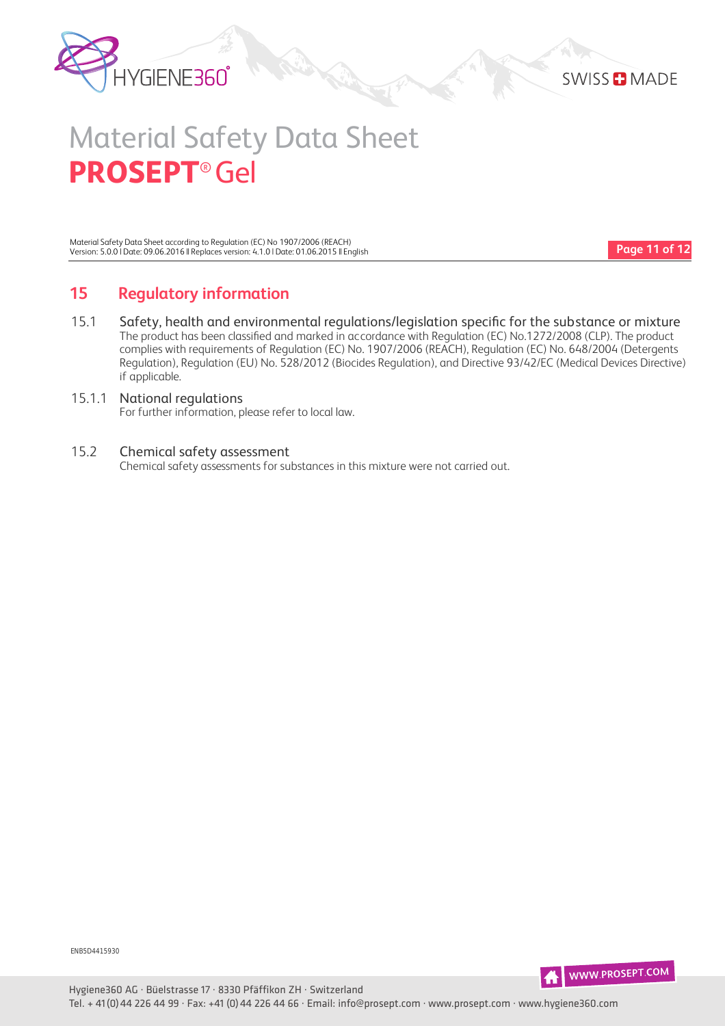



Material Safety Data Sheet according to Regulation (EC) No 1907/2006 (REACH) Version: 5.0.0 | Date: 09.06.2016 || Replaces version: 4.1.0 | Date: 01.06.2015 || English

**Page 11 of 12**

# **15 Regulatory information**

15.1 Safety, health and environmental regulations/legislation specific for the substance or mixture The product has been classified and marked in accordance with Regulation (EC) No.1272/2008 (CLP). The product complies with requirements of Regulation (EC) No. 1907/2006 (REACH), Regulation (EC) No. 648/2004 (Detergents Regulation), Regulation (EU) No. 528/2012 (Biocides Regulation), and Directive 93/42/EC (Medical Devices Directive) if applicable.

#### 15.1.1 National regulations For further information, please refer to local law.

#### 15.2 Chemical safety assessment

Chemical safety assessments for substances in this mixture were not carried out.